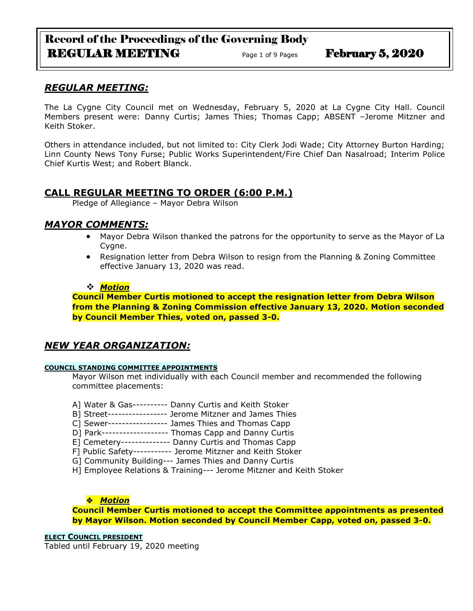# Record of the Proceedings of the Governing Body REGULAR MEETING Page 1 of 9 Pages February 5, 2020

# *REGULAR MEETING:*

The La Cygne City Council met on Wednesday, February 5, 2020 at La Cygne City Hall. Council Members present were: Danny Curtis; James Thies; Thomas Capp; ABSENT –Jerome Mitzner and Keith Stoker.

Others in attendance included, but not limited to: City Clerk Jodi Wade; City Attorney Burton Harding; Linn County News Tony Furse; Public Works Superintendent/Fire Chief Dan Nasalroad; Interim Police Chief Kurtis West; and Robert Blanck.

# **CALL REGULAR MEETING TO ORDER (6:00 P.M.)**

Pledge of Allegiance – Mayor Debra Wilson

## *MAYOR COMMENTS:*

- Mayor Debra Wilson thanked the patrons for the opportunity to serve as the Mayor of La Cygne.
- Resignation letter from Debra Wilson to resign from the Planning & Zoning Committee effective January 13, 2020 was read.

### *Motion*

**Council Member Curtis motioned to accept the resignation letter from Debra Wilson from the Planning & Zoning Commission effective January 13, 2020. Motion seconded by Council Member Thies, voted on, passed 3-0.**

# *NEW YEAR ORGANIZATION:*

### **COUNCIL STANDING COMMITTEE APPOINTMENTS**

Mayor Wilson met individually with each Council member and recommended the following committee placements:

- A] Water & Gas---------- Danny Curtis and Keith Stoker
- B] Street----------------- Jerome Mitzner and James Thies
- C] Sewer----------------- James Thies and Thomas Capp
- D] Park------------------- Thomas Capp and Danny Curtis
- E] Cemetery-------------- Danny Curtis and Thomas Capp
- F] Public Safety----------- Jerome Mitzner and Keith Stoker
- G] Community Building--- James Thies and Danny Curtis
- H] Employee Relations & Training--- Jerome Mitzner and Keith Stoker

### *Motion*

**Council Member Curtis motioned to accept the Committee appointments as presented by Mayor Wilson. Motion seconded by Council Member Capp, voted on, passed 3-0.**

**ELECT COUNCIL PRESIDENT** Tabled until February 19, 2020 meeting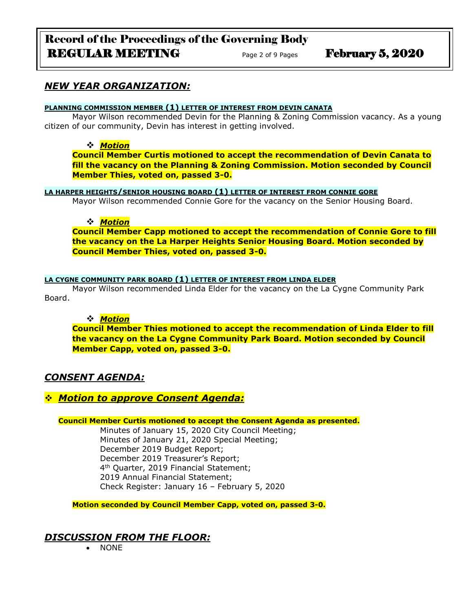# Record of the Proceedings of the Governing Body REGULAR MEETING Page 2 of 9 Pages February 5, 2020

# *NEW YEAR ORGANIZATION:*

#### **PLANNING COMMISSION MEMBER (1) LETTER OF INTEREST FROM DEVIN CANATA**

Mayor Wilson recommended Devin for the Planning & Zoning Commission vacancy. As a young citizen of our community, Devin has interest in getting involved.

### *Motion*

**Council Member Curtis motioned to accept the recommendation of Devin Canata to fill the vacancy on the Planning & Zoning Commission. Motion seconded by Council Member Thies, voted on, passed 3-0.**

### **LA HARPER HEIGHTS/SENIOR HOUSING BOARD (1) LETTER OF INTEREST FROM CONNIE GORE**

Mayor Wilson recommended Connie Gore for the vacancy on the Senior Housing Board.

### *Motion*

**Council Member Capp motioned to accept the recommendation of Connie Gore to fill the vacancy on the La Harper Heights Senior Housing Board. Motion seconded by Council Member Thies, voted on, passed 3-0.**

### **LA CYGNE COMMUNITY PARK BOARD (1) LETTER OF INTEREST FROM LINDA ELDER**

Mayor Wilson recommended Linda Elder for the vacancy on the La Cygne Community Park Board.

### *Motion*

**Council Member Thies motioned to accept the recommendation of Linda Elder to fill the vacancy on the La Cygne Community Park Board. Motion seconded by Council Member Capp, voted on, passed 3-0.**

# *CONSENT AGENDA:*

# *Motion to approve Consent Agenda:*

#### **Council Member Curtis motioned to accept the Consent Agenda as presented.**

Minutes of January 15, 2020 City Council Meeting; Minutes of January 21, 2020 Special Meeting; December 2019 Budget Report; December 2019 Treasurer's Report; 4 th Quarter, 2019 Financial Statement; 2019 Annual Financial Statement; Check Register: January 16 – February 5, 2020

**Motion seconded by Council Member Capp, voted on, passed 3-0.** 

# *DISCUSSION FROM THE FLOOR:*

NONE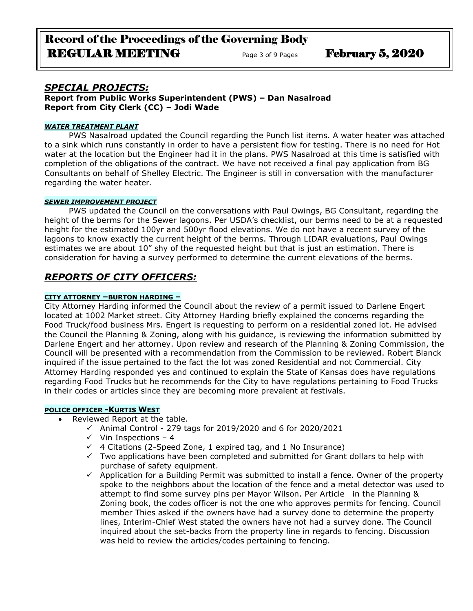## *SPECIAL PROJECTS:*

**Report from Public Works Superintendent (PWS) – Dan Nasalroad Report from City Clerk (CC) – Jodi Wade**

#### *WATER TREATMENT PLANT*

PWS Nasalroad updated the Council regarding the Punch list items. A water heater was attached to a sink which runs constantly in order to have a persistent flow for testing. There is no need for Hot water at the location but the Engineer had it in the plans. PWS Nasalroad at this time is satisfied with completion of the obligations of the contract. We have not received a final pay application from BG Consultants on behalf of Shelley Electric. The Engineer is still in conversation with the manufacturer regarding the water heater.

#### *SEWER IMPROVEMENT PROJECT*

PWS updated the Council on the conversations with Paul Owings, BG Consultant, regarding the height of the berms for the Sewer lagoons. Per USDA's checklist, our berms need to be at a requested height for the estimated 100yr and 500yr flood elevations. We do not have a recent survey of the lagoons to know exactly the current height of the berms. Through LIDAR evaluations, Paul Owings estimates we are about 10" shy of the requested height but that is just an estimation. There is consideration for having a survey performed to determine the current elevations of the berms.

## *REPORTS OF CITY OFFICERS:*

#### **CITY ATTORNEY –BURTON HARDING –**

City Attorney Harding informed the Council about the review of a permit issued to Darlene Engert located at 1002 Market street. City Attorney Harding briefly explained the concerns regarding the Food Truck/food business Mrs. Engert is requesting to perform on a residential zoned lot. He advised the Council the Planning & Zoning, along with his guidance, is reviewing the information submitted by Darlene Engert and her attorney. Upon review and research of the Planning & Zoning Commission, the Council will be presented with a recommendation from the Commission to be reviewed. Robert Blanck inquired if the issue pertained to the fact the lot was zoned Residential and not Commercial. City Attorney Harding responded yes and continued to explain the State of Kansas does have regulations regarding Food Trucks but he recommends for the City to have regulations pertaining to Food Trucks in their codes or articles since they are becoming more prevalent at festivals.

#### **POLICE OFFICER -KURTIS WEST**

- Reviewed Report at the table.
	- $\checkmark$  Animal Control 279 tags for 2019/2020 and 6 for 2020/2021
	- $\checkmark$  Vin Inspections 4
	- $\checkmark$  4 Citations (2-Speed Zone, 1 expired tag, and 1 No Insurance)
	- $\checkmark$  Two applications have been completed and submitted for Grant dollars to help with purchase of safety equipment.
	- $\checkmark$  Application for a Building Permit was submitted to install a fence. Owner of the property spoke to the neighbors about the location of the fence and a metal detector was used to attempt to find some survey pins per Mayor Wilson. Per Article in the Planning & Zoning book, the codes officer is not the one who approves permits for fencing. Council member Thies asked if the owners have had a survey done to determine the property lines, Interim-Chief West stated the owners have not had a survey done. The Council inquired about the set-backs from the property line in regards to fencing. Discussion was held to review the articles/codes pertaining to fencing.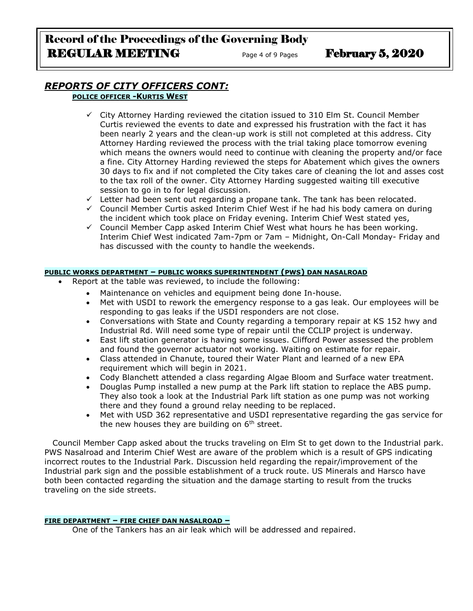### *REPORTS OF CITY OFFICERS CONT:* **POLICE OFFICER -KURTIS WEST**

- $\checkmark$  City Attorney Harding reviewed the citation issued to 310 Elm St. Council Member Curtis reviewed the events to date and expressed his frustration with the fact it has been nearly 2 years and the clean-up work is still not completed at this address. City Attorney Harding reviewed the process with the trial taking place tomorrow evening which means the owners would need to continue with cleaning the property and/or face a fine. City Attorney Harding reviewed the steps for Abatement which gives the owners 30 days to fix and if not completed the City takes care of cleaning the lot and asses cost to the tax roll of the owner. City Attorney Harding suggested waiting till executive session to go in to for legal discussion.
- $\checkmark$  Letter had been sent out regarding a propane tank. The tank has been relocated.
- $\checkmark$  Council Member Curtis asked Interim Chief West if he had his body camera on during the incident which took place on Friday evening. Interim Chief West stated yes,
- $\checkmark$  Council Member Capp asked Interim Chief West what hours he has been working. Interim Chief West indicated 7am-7pm or 7am – Midnight, On-Call Monday- Friday and has discussed with the county to handle the weekends.

### **PUBLIC WORKS DEPARTMENT – PUBLIC WORKS SUPERINTENDENT (PWS) DAN NASALROAD**

- Report at the table was reviewed, to include the following:
	- Maintenance on vehicles and equipment being done In-house.
	- Met with USDI to rework the emergency response to a gas leak. Our employees will be responding to gas leaks if the USDI responders are not close.
	- Conversations with State and County regarding a temporary repair at KS 152 hwy and Industrial Rd. Will need some type of repair until the CCLIP project is underway.
	- East lift station generator is having some issues. Clifford Power assessed the problem and found the governor actuator not working. Waiting on estimate for repair.
	- Class attended in Chanute, toured their Water Plant and learned of a new EPA requirement which will begin in 2021.
	- Cody Blanchett attended a class regarding Algae Bloom and Surface water treatment.
	- Douglas Pump installed a new pump at the Park lift station to replace the ABS pump. They also took a look at the Industrial Park lift station as one pump was not working there and they found a ground relay needing to be replaced.
	- Met with USD 362 representative and USDI representative regarding the gas service for the new houses they are building on  $6<sup>th</sup>$  street.

 Council Member Capp asked about the trucks traveling on Elm St to get down to the Industrial park. PWS Nasalroad and Interim Chief West are aware of the problem which is a result of GPS indicating incorrect routes to the Industrial Park. Discussion held regarding the repair/improvement of the Industrial park sign and the possible establishment of a truck route. US Minerals and Harsco have both been contacted regarding the situation and the damage starting to result from the trucks traveling on the side streets.

#### **FIRE DEPARTMENT – FIRE CHIEF DAN NASALROAD –**

One of the Tankers has an air leak which will be addressed and repaired.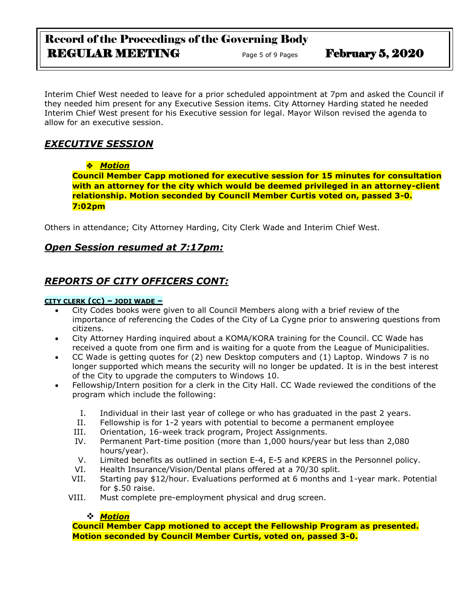# Record of the Proceedings of the Governing Body REGULAR MEETING Page 5 of 9 Pages February 5, 2020

Interim Chief West needed to leave for a prior scheduled appointment at 7pm and asked the Council if they needed him present for any Executive Session items. City Attorney Harding stated he needed Interim Chief West present for his Executive session for legal. Mayor Wilson revised the agenda to allow for an executive session.

# *EXECUTIVE SESSION*

## *Motion*

**Council Member Capp motioned for executive session for 15 minutes for consultation with an attorney for the city which would be deemed privileged in an attorney-client relationship. Motion seconded by Council Member Curtis voted on, passed 3-0. 7:02pm**

Others in attendance; City Attorney Harding, City Clerk Wade and Interim Chief West.

# *Open Session resumed at 7:17pm:*

# *REPORTS OF CITY OFFICERS CONT:*

### **CITY CLERK (CC) – JODI WADE –**

- City Codes books were given to all Council Members along with a brief review of the importance of referencing the Codes of the City of La Cygne prior to answering questions from citizens.
- City Attorney Harding inquired about a KOMA/KORA training for the Council. CC Wade has received a quote from one firm and is waiting for a quote from the League of Municipalities.
- CC Wade is getting quotes for (2) new Desktop computers and (1) Laptop. Windows 7 is no longer supported which means the security will no longer be updated. It is in the best interest of the City to upgrade the computers to Windows 10.
- Fellowship/Intern position for a clerk in the City Hall. CC Wade reviewed the conditions of the program which include the following:
	- I. Individual in their last year of college or who has graduated in the past 2 years.
	- II. Fellowship is for 1-2 years with potential to become a permanent employee
	- III. Orientation, 16-week track program, Project Assignments.
	- IV. Permanent Part-time position (more than 1,000 hours/year but less than 2,080 hours/year).
	- V. Limited benefits as outlined in section E-4, E-5 and KPERS in the Personnel policy.
	- VI. Health Insurance/Vision/Dental plans offered at a 70/30 split.
	- VII. Starting pay \$12/hour. Evaluations performed at 6 months and 1-year mark. Potential for \$.50 raise.
	- VIII. Must complete pre-employment physical and drug screen.

### *Motion*

**Council Member Capp motioned to accept the Fellowship Program as presented. Motion seconded by Council Member Curtis, voted on, passed 3-0.**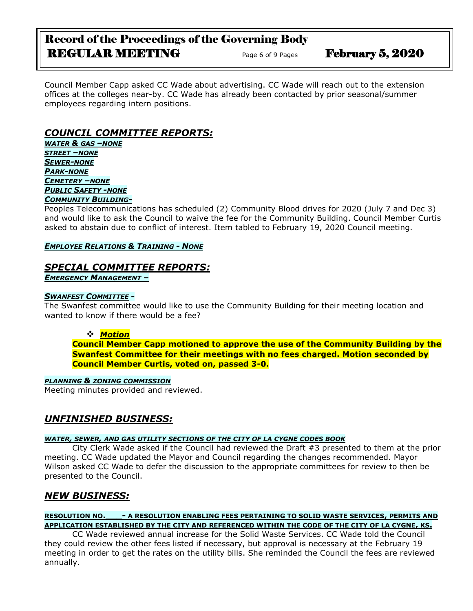# Record of the Proceedings of the Governing Body REGULAR MEETING Page 6 of 9 Pages February 5, 2020

Council Member Capp asked CC Wade about advertising. CC Wade will reach out to the extension offices at the colleges near-by. CC Wade has already been contacted by prior seasonal/summer employees regarding intern positions.

# *COUNCIL COMMITTEE REPORTS:*

*WATER & GAS –NONE STREET –NONE SEWER-NONE PARK-NONE CEMETERY –NONE PUBLIC SAFETY -NONE*

### *COMMUNITY BUILDING-*

Peoples Telecommunications has scheduled (2) Community Blood drives for 2020 (July 7 and Dec 3) and would like to ask the Council to waive the fee for the Community Building. Council Member Curtis asked to abstain due to conflict of interest. Item tabled to February 19, 2020 Council meeting.

### *EMPLOYEE RELATIONS & TRAINING - NONE*

### *SPECIAL COMMITTEE REPORTS: EMERGENCY MANAGEMENT –*

### *SWANFEST COMMITTEE -*

The Swanfest committee would like to use the Community Building for their meeting location and wanted to know if there would be a fee?

### *Motion*

**Council Member Capp motioned to approve the use of the Community Building by the Swanfest Committee for their meetings with no fees charged. Motion seconded by Council Member Curtis, voted on, passed 3-0.**

#### *PLANNING & ZONING COMMISSION*

Meeting minutes provided and reviewed.

# *UNFINISHED BUSINESS:*

### *WATER, SEWER, AND GAS UTILITY SECTIONS OF THE CITY OF LA CYGNE CODES BOOK*

City Clerk Wade asked if the Council had reviewed the Draft #3 presented to them at the prior meeting. CC Wade updated the Mayor and Council regarding the changes recommended. Mayor Wilson asked CC Wade to defer the discussion to the appropriate committees for review to then be presented to the Council.

# *NEW BUSINESS:*

### **RESOLUTION NO.\_\_\_- A RESOLUTION ENABLING FEES PERTAINING TO SOLID WASTE SERVICES, PERMITS AND APPLICATION ESTABLISHED BY THE CITY AND REFERENCED WITHIN THE CODE OF THE CITY OF LA CYGNE, KS.**

CC Wade reviewed annual increase for the Solid Waste Services. CC Wade told the Council they could review the other fees listed if necessary, but approval is necessary at the February 19 meeting in order to get the rates on the utility bills. She reminded the Council the fees are reviewed annually.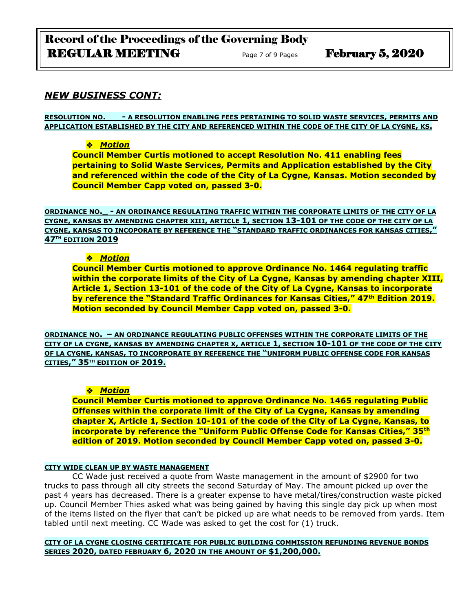# Record of the Proceedings of the Governing Body REGULAR MEETING Page 7 of 9 Pages February 5, 2020

## *NEW BUSINESS CONT:*

**RESOLUTION NO.\_\_\_- A RESOLUTION ENABLING FEES PERTAINING TO SOLID WASTE SERVICES, PERMITS AND APPLICATION ESTABLISHED BY THE CITY AND REFERENCED WITHIN THE CODE OF THE CITY OF LA CYGNE, KS.**

### *Motion*

**Council Member Curtis motioned to accept Resolution No. 411 enabling fees pertaining to Solid Waste Services, Permits and Application established by the City and referenced within the code of the City of La Cygne, Kansas. Motion seconded by Council Member Capp voted on, passed 3-0.**

**ORDINANCE NO.\_ - AN ORDINANCE REGULATING TRAFFIC WITHIN THE CORPORATE LIMITS OF THE CITY OF LA CYGNE, KANSAS BY AMENDING CHAPTER XIII, ARTICLE 1, SECTION 13-101 OF THE CODE OF THE CITY OF LA CYGNE, KANSAS TO INCOPORATE BY REFERENCE THE "STANDARD TRAFFIC ORDINANCES FOR KANSAS CITIES," 47TH EDITION 2019**

### *Motion*

**Council Member Curtis motioned to approve Ordinance No. 1464 regulating traffic within the corporate limits of the City of La Cygne, Kansas by amending chapter XIII, Article 1, Section 13-101 of the code of the City of La Cygne, Kansas to incorporate by reference the "Standard Traffic Ordinances for Kansas Cities," 47th Edition 2019. Motion seconded by Council Member Capp voted on, passed 3-0.**

**ORDINANCE NO. – AN ORDINANCE REGULATING PUBLIC OFFENSES WITHIN THE CORPORATE LIMITS OF THE CITY OF LA CYGNE, KANSAS BY AMENDING CHAPTER X, ARTICLE 1, SECTION 10-101 OF THE CODE OF THE CITY OF LA CYGNE, KANSAS, TO INCORPORATE BY REFERENCE THE "UNIFORM PUBLIC OFFENSE CODE FOR KANSAS CITIES," 35TH EDITION OF 2019.**

### *Motion*

**Council Member Curtis motioned to approve Ordinance No. 1465 regulating Public Offenses within the corporate limit of the City of La Cygne, Kansas by amending chapter X, Article 1, Section 10-101 of the code of the City of La Cygne, Kansas, to incorporate by reference the "Uniform Public Offense Code for Kansas Cities," 35th edition of 2019. Motion seconded by Council Member Capp voted on, passed 3-0.**

### **CITY WIDE CLEAN UP BY WASTE MANAGEMENT**

CC Wade just received a quote from Waste management in the amount of \$2900 for two trucks to pass through all city streets the second Saturday of May. The amount picked up over the past 4 years has decreased. There is a greater expense to have metal/tires/construction waste picked up. Council Member Thies asked what was being gained by having this single day pick up when most of the items listed on the flyer that can't be picked up are what needs to be removed from yards. Item tabled until next meeting. CC Wade was asked to get the cost for (1) truck.

### **CITY OF LA CYGNE CLOSING CERTIFICATE FOR PUBLIC BUILDING COMMISSION REFUNDING REVENUE BONDS SERIES 2020, DATED FEBRUARY 6, 2020 IN THE AMOUNT OF \$1,200,000.**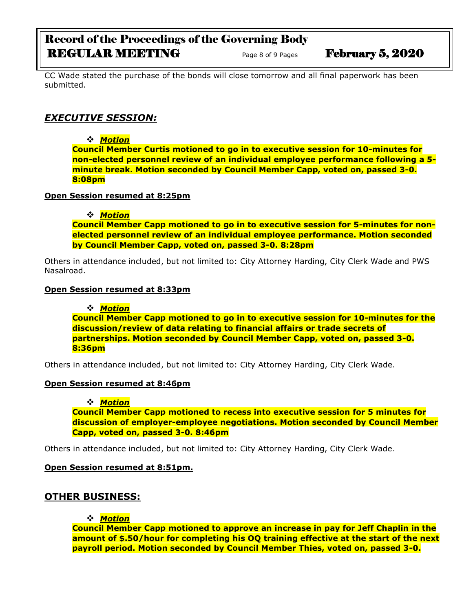# Record of the Proceedings of the Governing Body REGULAR MEETING Page 8 of 9 Pages February 5, 2020

CC Wade stated the purchase of the bonds will close tomorrow and all final paperwork has been submitted.

# *EXECUTIVE SESSION:*

*Motion* 

**Council Member Curtis motioned to go in to executive session for 10-minutes for non-elected personnel review of an individual employee performance following a 5 minute break. Motion seconded by Council Member Capp, voted on, passed 3-0. 8:08pm**

### **Open Session resumed at 8:25pm**

*Motion* 

**Council Member Capp motioned to go in to executive session for 5-minutes for nonelected personnel review of an individual employee performance. Motion seconded by Council Member Capp, voted on, passed 3-0. 8:28pm**

Others in attendance included, but not limited to: City Attorney Harding, City Clerk Wade and PWS Nasalroad.

### **Open Session resumed at 8:33pm**

*Motion* 

**Council Member Capp motioned to go in to executive session for 10-minutes for the discussion/review of data relating to financial affairs or trade secrets of partnerships. Motion seconded by Council Member Capp, voted on, passed 3-0. 8:36pm**

Others in attendance included, but not limited to: City Attorney Harding, City Clerk Wade.

### **Open Session resumed at 8:46pm**

### *Motion*

**Council Member Capp motioned to recess into executive session for 5 minutes for discussion of employer-employee negotiations. Motion seconded by Council Member Capp, voted on, passed 3-0. 8:46pm**

Others in attendance included, but not limited to: City Attorney Harding, City Clerk Wade.

### **Open Session resumed at 8:51pm.**

### **OTHER BUSINESS:**

### *Motion*

**Council Member Capp motioned to approve an increase in pay for Jeff Chaplin in the amount of \$.50/hour for completing his OQ training effective at the start of the next payroll period. Motion seconded by Council Member Thies, voted on, passed 3-0.**